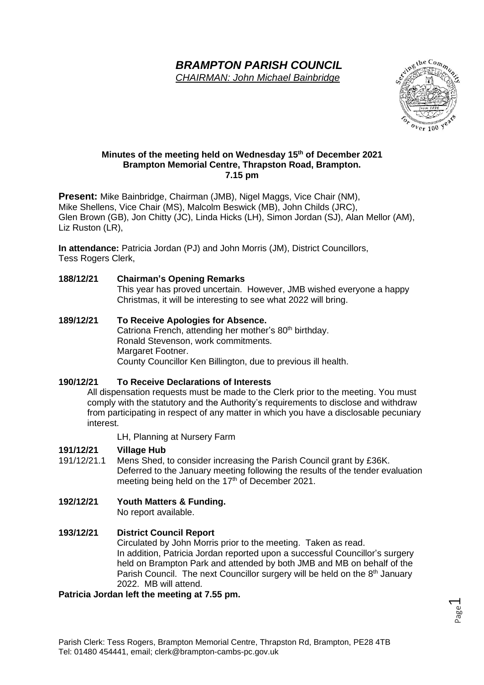# *BRAMPTON PARISH COUNCIL*

*CHAIRMAN: John Michael Bainbridge*



#### **Minutes of the meeting held on Wednesday 15th of December 2021 Brampton Memorial Centre, Thrapston Road, Brampton. 7.15 pm**

**Present:** Mike Bainbridge, Chairman (JMB), Nigel Maggs, Vice Chair (NM), Mike Shellens, Vice Chair (MS), Malcolm Beswick (MB), John Childs (JRC), Glen Brown (GB), Jon Chitty (JC), Linda Hicks (LH), Simon Jordan (SJ), Alan Mellor (AM), Liz Ruston (LR),

**In attendance:** Patricia Jordan (PJ) and John Morris (JM), District Councillors, Tess Rogers Clerk,

#### **188/12/21 Chairman's Opening Remarks**

This year has proved uncertain. However, JMB wished everyone a happy Christmas, it will be interesting to see what 2022 will bring.

**189/12/21 To Receive Apologies for Absence.** Catriona French, attending her mother's 80<sup>th</sup> birthday. Ronald Stevenson, work commitments. Margaret Footner. County Councillor Ken Billington, due to previous ill health.

**190/12/21 To Receive Declarations of Interests** All dispensation requests must be made to the Clerk prior to the meeting. You must comply with the statutory and the Authority's requirements to disclose and withdraw from participating in respect of any matter in which you have a disclosable pecuniary interest.

LH, Planning at Nursery Farm

# **191/12/21 Village Hub**

- Mens Shed, to consider increasing the Parish Council grant by £36K. Deferred to the January meeting following the results of the tender evaluation meeting being held on the 17<sup>th</sup> of December 2021.
- **192/12/21 Youth Matters & Funding.**

No report available.

# **193/12/21 District Council Report**

Circulated by John Morris prior to the meeting. Taken as read. In addition, Patricia Jordan reported upon a successful Councillor's surgery held on Brampton Park and attended by both JMB and MB on behalf of the Parish Council. The next Councillor surgery will be held on the  $8<sup>th</sup>$  January 2022. MB will attend.

#### **Patricia Jordan left the meeting at 7.55 pm.**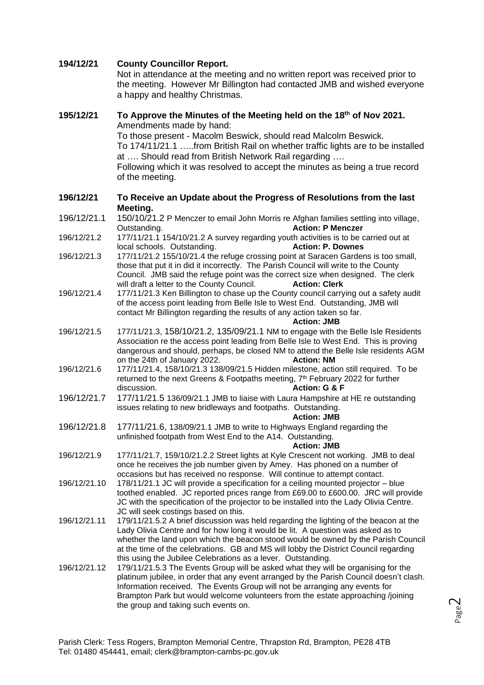#### **194/12/21 County Councillor Report.**

Not in attendance at the meeting and no written report was received prior to the meeting. However Mr Billington had contacted JMB and wished everyone a happy and healthy Christmas.

## **195/12/21 To Approve the Minutes of the Meeting held on the 18th of Nov 2021.** Amendments made by hand:

To those present - Macolm Beswick, should read Malcolm Beswick. To 174/11/21.1 …..from British Rail on whether traffic lights are to be installed at …. Should read from British Network Rail regarding …. Following which it was resolved to accept the minutes as being a true record

of the meeting.

#### **196/12/21 To Receive an Update about the Progress of Resolutions from the last Meeting.**

- 196/12/21.1 150/10/21.2 P Menczer to email John Morris re Afghan families settling into village, Outstanding. **Action: P Menczer**
- 196/12/21.2 177/11/21.1 154/10/21.2 A survey regarding youth activities is to be carried out at local schools. Outstanding. **Action: P. Downes**
- 196/12/21.3 177/11/21.2 155/10/21.4 the refuge crossing point at Saracen Gardens is too small, those that put it in did it incorrectly. The Parish Council will write to the County Council. JMB said the refuge point was the correct size when designed. The clerk will draft a letter to the County Council. **Action: Clerk**
- 196/12/21.4 177/11/21.3 Ken Billington to chase up the County council carrying out a safety audit of the access point leading from Belle Isle to West End. Outstanding, JMB will contact Mr Billington regarding the results of any action taken so far.

**Action: JMB**

- 196/12/21.5 177/11/21.3, 158/10/21.2, 135/09/21.1 NM to engage with the Belle Isle Residents Association re the access point leading from Belle Isle to West End. This is proving dangerous and should, perhaps, be closed NM to attend the Belle Isle residents AGM on the 24th of January 2022. **Action: NM**
- 196/12/21.6 177/11/21.4, 158/10/21.3 138/09/21.5 Hidden milestone, action still required. To be returned to the next Greens & Footpaths meeting, 7<sup>th</sup> February 2022 for further discussion. **Action: G & F**
- 196/12/21.7 177/11/21.5 136/09/21.1 JMB to liaise with Laura Hampshire at HE re outstanding issues relating to new bridleways and footpaths. Outstanding.

#### **Action: JMB**

196/12/21.8 177/11/21.6, 138/09/21.1 JMB to write to Highways England regarding the unfinished footpath from West End to the A14. Outstanding.

#### **Action: JMB**

- 196/12/21.9 177/11/21.7, 159/10/21.2.2 Street lights at Kyle Crescent not working. JMB to deal once he receives the job number given by Amey. Has phoned on a number of occasions but has received no response. Will continue to attempt contact.
- 196/12/21.10 178/11/21.1 JC will provide a specification for a ceiling mounted projector blue toothed enabled. JC reported prices range from £69.00 to £600.00. JRC will provide JC with the specification of the projector to be installed into the Lady Olivia Centre. JC will seek costings based on this.
- 196/12/21.11 179/11/21.5.2 A brief discussion was held regarding the lighting of the beacon at the Lady Olivia Centre and for how long it would be lit. A question was asked as to whether the land upon which the beacon stood would be owned by the Parish Council at the time of the celebrations. GB and MS will lobby the District Council regarding this using the Jubilee Celebrations as a lever. Outstanding.
- 196/12/21.12 179/11/21.5.3 The Events Group will be asked what they will be organising for the platinum jubilee, in order that any event arranged by the Parish Council doesn't clash. Information received. The Events Group will not be arranging any events for Brampton Park but would welcome volunteers from the estate approaching /joining the group and taking such events on.

Page  $\bigcap$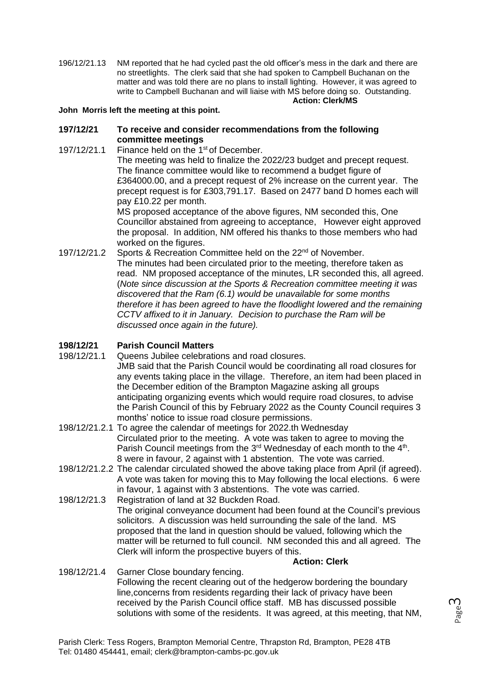196/12/21.13 NM reported that he had cycled past the old officer's mess in the dark and there are no streetlights. The clerk said that she had spoken to Campbell Buchanan on the matter and was told there are no plans to install lighting. However, it was agreed to write to Campbell Buchanan and will liaise with MS before doing so. Outstanding. **Action: Clerk/MS**

#### **John Morris left the meeting at this point.**

#### **197/12/21 To receive and consider recommendations from the following committee meetings**

197/12/21.1 Finance held on the 1<sup>st</sup> of December.

The meeting was held to finalize the 2022/23 budget and precept request. The finance committee would like to recommend a budget figure of £364000.00, and a precept request of 2% increase on the current year. The precept request is for £303,791.17. Based on 2477 band D homes each will pay £10.22 per month.

MS proposed acceptance of the above figures, NM seconded this, One Councillor abstained from agreeing to acceptance, However eight approved the proposal. In addition, NM offered his thanks to those members who had worked on the figures.

197/12/21.2 Sports & Recreation Committee held on the 22<sup>nd</sup> of November. The minutes had been circulated prior to the meeting, therefore taken as read. NM proposed acceptance of the minutes, LR seconded this, all agreed. (*Note since discussion at the Sports & Recreation committee meeting it was discovered that the Ram (6.1) would be unavailable for some months therefore it has been agreed to have the floodlight lowered and the remaining CCTV affixed to it in January. Decision to purchase the Ram will be discussed once again in the future).*

#### **198/12/21 Parish Council Matters**

- 198/12/21.1 Queens Jubilee celebrations and road closures. JMB said that the Parish Council would be coordinating all road closures for any events taking place in the village. Therefore, an item had been placed in the December edition of the Brampton Magazine asking all groups anticipating organizing events which would require road closures, to advise the Parish Council of this by February 2022 as the County Council requires 3 months' notice to issue road closure permissions.
- 198/12/21.2.1 To agree the calendar of meetings for 2022.th Wednesday Circulated prior to the meeting. A vote was taken to agree to moving the Parish Council meetings from the 3<sup>rd</sup> Wednesday of each month to the 4<sup>th</sup>. 8 were in favour, 2 against with 1 abstention. The vote was carried.
- 198/12/21.2.2 The calendar circulated showed the above taking place from April (if agreed). A vote was taken for moving this to May following the local elections. 6 were in favour, 1 against with 3 abstentions. The vote was carried.
- 198/12/21.3 Registration of land at 32 Buckden Road. The original conveyance document had been found at the Council's previous solicitors. A discussion was held surrounding the sale of the land. MS proposed that the land in question should be valued, following which the matter will be returned to full council. NM seconded this and all agreed. The Clerk will inform the prospective buyers of this.

#### **Action: Clerk**

#### 198/12/21.4 Garner Close boundary fencing. Following the recent clearing out of the hedgerow bordering the boundary line,concerns from residents regarding their lack of privacy have been received by the Parish Council office staff. MB has discussed possible solutions with some of the residents. It was agreed, at this meeting, that NM,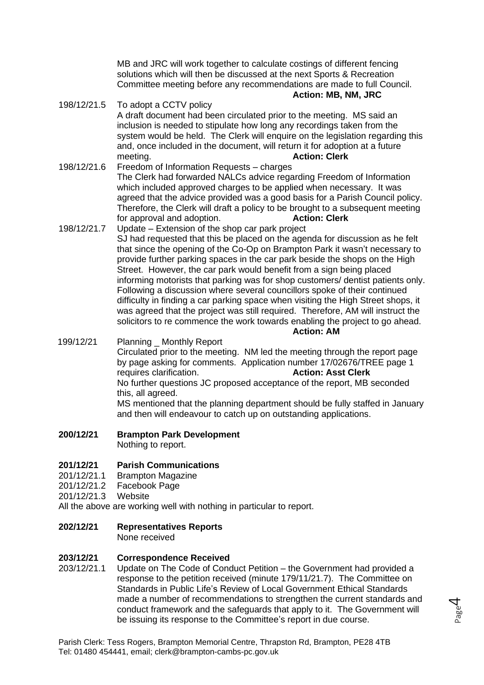MB and JRC will work together to calculate costings of different fencing solutions which will then be discussed at the next Sports & Recreation Committee meeting before any recommendations are made to full Council. **Action: MB, NM, JRC**

- 198/12/21.5 To adopt a CCTV policy A draft document had been circulated prior to the meeting. MS said an inclusion is needed to stipulate how long any recordings taken from the system would be held. The Clerk will enquire on the legislation regarding this and, once included in the document, will return it for adoption at a future meeting. **Action: Clerk**
- 198/12/21.6 Freedom of Information Requests charges The Clerk had forwarded NALCs advice regarding Freedom of Information which included approved charges to be applied when necessary. It was agreed that the advice provided was a good basis for a Parish Council policy. Therefore, the Clerk will draft a policy to be brought to a subsequent meeting for approval and adoption. **Action: Clerk**
- 198/12/21.7 Update Extension of the shop car park project SJ had requested that this be placed on the agenda for discussion as he felt that since the opening of the Co-Op on Brampton Park it wasn't necessary to provide further parking spaces in the car park beside the shops on the High Street. However, the car park would benefit from a sign being placed informing motorists that parking was for shop customers/ dentist patients only. Following a discussion where several councillors spoke of their continued difficulty in finding a car parking space when visiting the High Street shops, it was agreed that the project was still required. Therefore, AM will instruct the solicitors to re commence the work towards enabling the project to go ahead. **Action: AM**

199/12/21 Planning Monthly Report Circulated prior to the meeting. NM led the meeting through the report page by page asking for comments. Application number 17/02676/TREE page 1 requires clarification. **Action: Asst Clerk** No further questions JC proposed acceptance of the report, MB seconded this, all agreed. MS mentioned that the planning department should be fully staffed in January and then will endeavour to catch up on outstanding applications.

#### **200/12/21 Brampton Park Development**

Nothing to report.

#### **201/12/21 Parish Communications**

201/12/21.1 Brampton Magazine

- 201/12/21.2 Facebook Page
- 201/12/21.3 Website

All the above are working well with nothing in particular to report.

## **202/12/21 Representatives Reports**

None received

#### **203/12/21 Correspondence Received**

203/12/21.1 Update on The Code of Conduct Petition – the Government had provided a response to the petition received (minute 179/11/21.7). The Committee on Standards in Public Life's Review of Local Government Ethical Standards made a number of recommendations to strengthen the current standards and conduct framework and the safeguards that apply to it. The Government will be issuing its response to the Committee's report in due course.

Page 4

Parish Clerk: Tess Rogers, Brampton Memorial Centre, Thrapston Rd, Brampton, PE28 4TB Tel: 01480 454441, email; clerk@brampton-cambs-pc.gov.uk